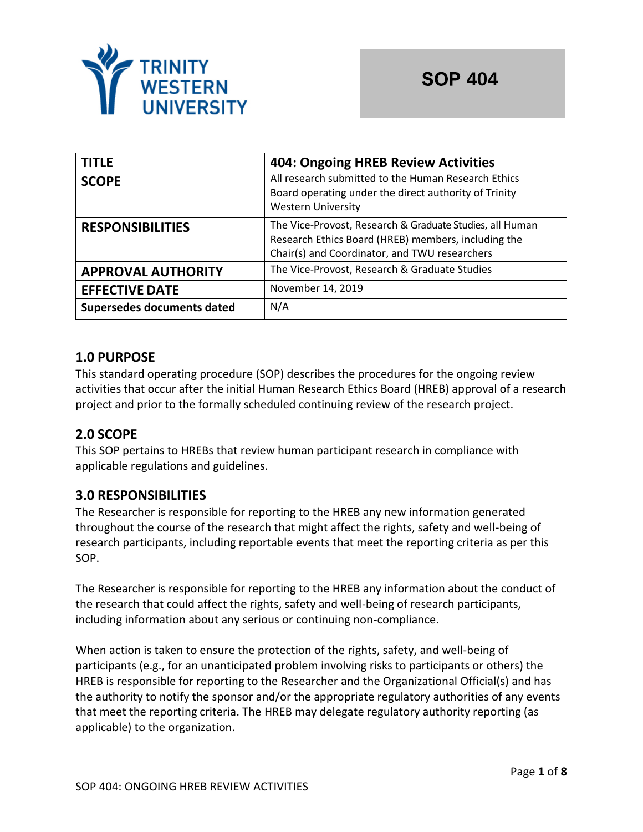

| <b>TITLE</b>               | <b>404: Ongoing HREB Review Activities</b>                                                                                                                       |  |
|----------------------------|------------------------------------------------------------------------------------------------------------------------------------------------------------------|--|
| <b>SCOPE</b>               | All research submitted to the Human Research Ethics<br>Board operating under the direct authority of Trinity<br><b>Western University</b>                        |  |
| <b>RESPONSIBILITIES</b>    | The Vice-Provost, Research & Graduate Studies, all Human<br>Research Ethics Board (HREB) members, including the<br>Chair(s) and Coordinator, and TWU researchers |  |
| <b>APPROVAL AUTHORITY</b>  | The Vice-Provost, Research & Graduate Studies                                                                                                                    |  |
| <b>EFFECTIVE DATE</b>      | November 14, 2019                                                                                                                                                |  |
| Supersedes documents dated | N/A                                                                                                                                                              |  |

## **1.0 PURPOSE**

This standard operating procedure (SOP) describes the procedures for the ongoing review activities that occur after the initial Human Research Ethics Board (HREB) approval of a research project and prior to the formally scheduled continuing review of the research project.

### **2.0 SCOPE**

This SOP pertains to HREBs that review human participant research in compliance with applicable regulations and guidelines.

### **3.0 RESPONSIBILITIES**

The Researcher is responsible for reporting to the HREB any new information generated throughout the course of the research that might affect the rights, safety and well-being of research participants, including reportable events that meet the reporting criteria as per this SOP.

The Researcher is responsible for reporting to the HREB any information about the conduct of the research that could affect the rights, safety and well-being of research participants, including information about any serious or continuing non-compliance.

When action is taken to ensure the protection of the rights, safety, and well-being of participants (e.g., for an unanticipated problem involving risks to participants or others) the HREB is responsible for reporting to the Researcher and the Organizational Official(s) and has the authority to notify the sponsor and/or the appropriate regulatory authorities of any events that meet the reporting criteria. The HREB may delegate regulatory authority reporting (as applicable) to the organization.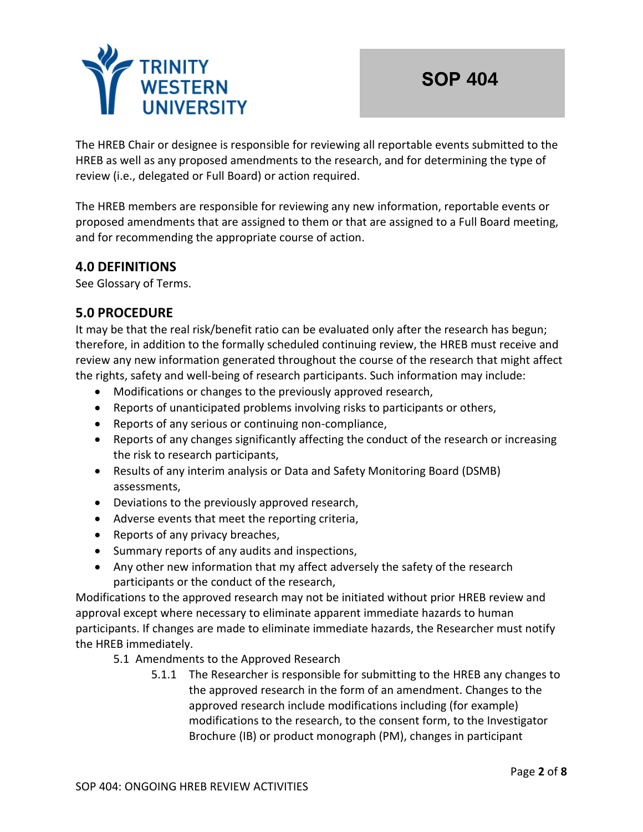

The HREB Chair or designee is responsible for reviewing all reportable events submitted to the HREB as well as any proposed amendments to the research, and for determining the type of review (i.e., delegated or Full Board) or action required.

The HREB members are responsible for reviewing any new information, reportable events or proposed amendments that are assigned to them or that are assigned to a Full Board meeting, and for recommending the appropriate course of action.

## **4.0 DEFINITIONS**

See Glossary of Terms.

## **5.0 PROCEDURE**

It may be that the real risk/benefit ratio can be evaluated only after the research has begun; therefore, in addition to the formally scheduled continuing review, the HREB must receive and review any new information generated throughout the course of the research that might affect the rights, safety and well-being of research participants. Such information may include:

- Modifications or changes to the previously approved research,
- Reports of unanticipated problems involving risks to participants or others,
- Reports of any serious or continuing non-compliance,
- Reports of any changes significantly affecting the conduct of the research or increasing the risk to research participants,
- Results of any interim analysis or Data and Safety Monitoring Board (DSMB) assessments,
- Deviations to the previously approved research,
- Adverse events that meet the reporting criteria,
- Reports of any privacy breaches,
- Summary reports of any audits and inspections,
- Any other new information that my affect adversely the safety of the research participants or the conduct of the research,

Modifications to the approved research may not be initiated without prior HREB review and approval except where necessary to eliminate apparent immediate hazards to human participants. If changes are made to eliminate immediate hazards, the Researcher must notify the HREB immediately.

- 5.1 Amendments to the Approved Research
	- 5.1.1 The Researcher is responsible for submitting to the HREB any changes to the approved research in the form of an amendment. Changes to the approved research include modifications including (for example) modifications to the research, to the consent form, to the Investigator Brochure (IB) or product monograph (PM), changes in participant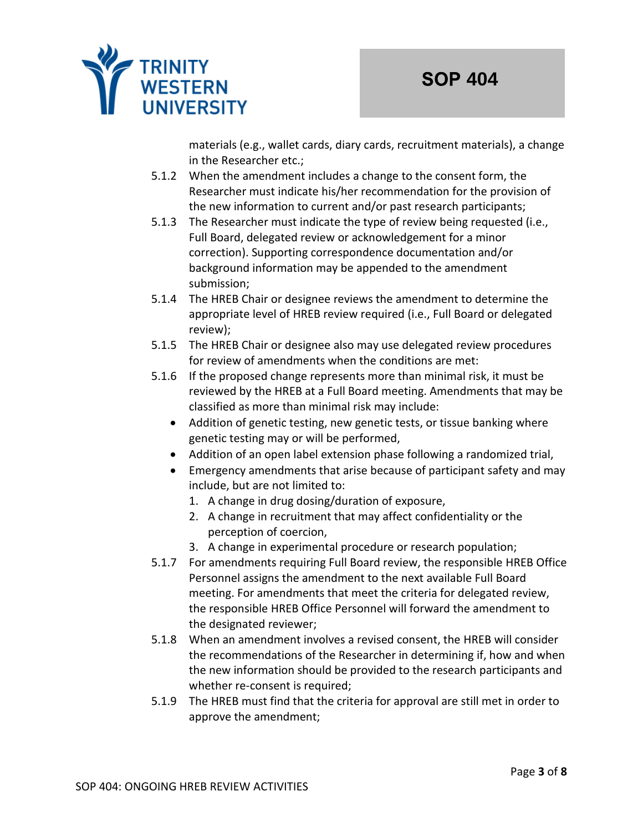

materials (e.g., wallet cards, diary cards, recruitment materials), a change in the Researcher etc.;

- 5.1.2 When the amendment includes a change to the consent form, the Researcher must indicate his/her recommendation for the provision of the new information to current and/or past research participants;
- 5.1.3 The Researcher must indicate the type of review being requested (i.e., Full Board, delegated review or acknowledgement for a minor correction). Supporting correspondence documentation and/or background information may be appended to the amendment submission;
- 5.1.4 The HREB Chair or designee reviews the amendment to determine the appropriate level of HREB review required (i.e., Full Board or delegated review);
- 5.1.5 The HREB Chair or designee also may use delegated review procedures for review of amendments when the conditions are met:
- 5.1.6 If the proposed change represents more than minimal risk, it must be reviewed by the HREB at a Full Board meeting. Amendments that may be classified as more than minimal risk may include:
	- Addition of genetic testing, new genetic tests, or tissue banking where genetic testing may or will be performed,
	- Addition of an open label extension phase following a randomized trial,
	- Emergency amendments that arise because of participant safety and may include, but are not limited to:
		- 1. A change in drug dosing/duration of exposure,
		- 2. A change in recruitment that may affect confidentiality or the perception of coercion,
		- 3. A change in experimental procedure or research population;
- 5.1.7 For amendments requiring Full Board review, the responsible HREB Office Personnel assigns the amendment to the next available Full Board meeting. For amendments that meet the criteria for delegated review, the responsible HREB Office Personnel will forward the amendment to the designated reviewer;
- 5.1.8 When an amendment involves a revised consent, the HREB will consider the recommendations of the Researcher in determining if, how and when the new information should be provided to the research participants and whether re-consent is required;
- 5.1.9 The HREB must find that the criteria for approval are still met in order to approve the amendment;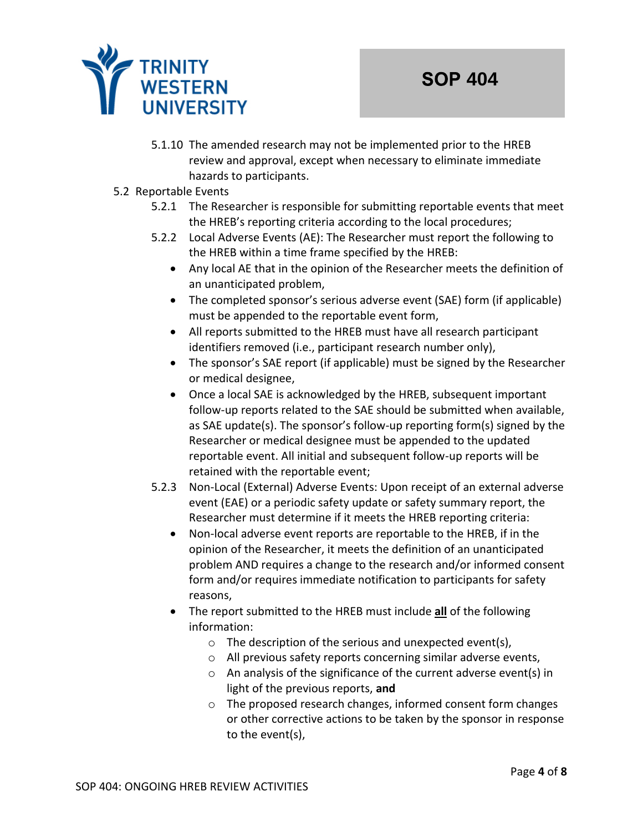

- 5.1.10 The amended research may not be implemented prior to the HREB review and approval, except when necessary to eliminate immediate hazards to participants.
- 5.2 Reportable Events
	- 5.2.1 The Researcher is responsible for submitting reportable events that meet the HREB's reporting criteria according to the local procedures;
	- 5.2.2 Local Adverse Events (AE): The Researcher must report the following to the HREB within a time frame specified by the HREB:
		- Any local AE that in the opinion of the Researcher meets the definition of an unanticipated problem,
		- The completed sponsor's serious adverse event (SAE) form (if applicable) must be appended to the reportable event form,
		- All reports submitted to the HREB must have all research participant identifiers removed (i.e., participant research number only),
		- The sponsor's SAE report (if applicable) must be signed by the Researcher or medical designee,
		- Once a local SAE is acknowledged by the HREB, subsequent important follow-up reports related to the SAE should be submitted when available, as SAE update(s). The sponsor's follow-up reporting form(s) signed by the Researcher or medical designee must be appended to the updated reportable event. All initial and subsequent follow-up reports will be retained with the reportable event;
	- 5.2.3 Non-Local (External) Adverse Events: Upon receipt of an external adverse event (EAE) or a periodic safety update or safety summary report, the Researcher must determine if it meets the HREB reporting criteria:
		- Non-local adverse event reports are reportable to the HREB, if in the opinion of the Researcher, it meets the definition of an unanticipated problem AND requires a change to the research and/or informed consent form and/or requires immediate notification to participants for safety reasons,
		- The report submitted to the HREB must include **all** of the following information:
			- o The description of the serious and unexpected event(s),
			- o All previous safety reports concerning similar adverse events,
			- o An analysis of the significance of the current adverse event(s) in light of the previous reports, **and**
			- o The proposed research changes, informed consent form changes or other corrective actions to be taken by the sponsor in response to the event(s),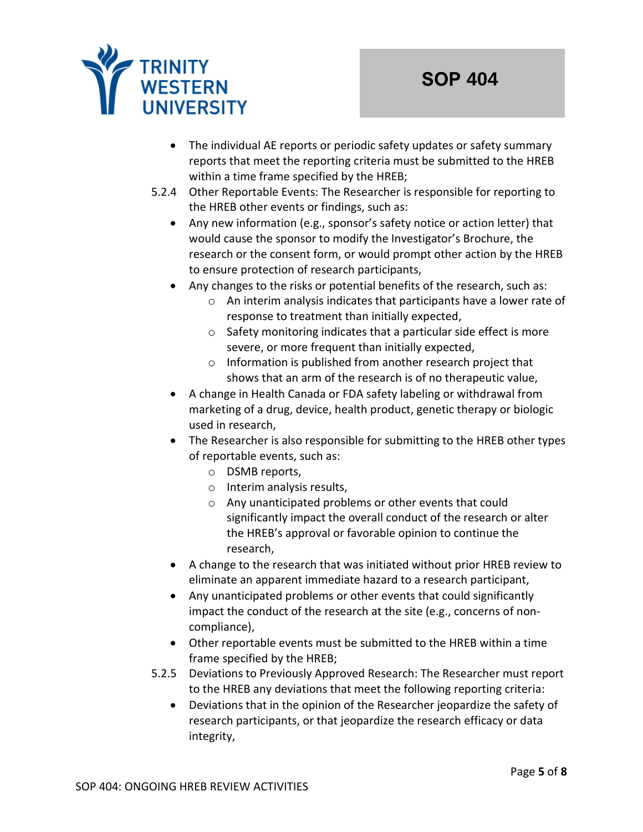

- The individual AE reports or periodic safety updates or safety summary reports that meet the reporting criteria must be submitted to the HREB within a time frame specified by the HREB;
- 5.2.4 Other Reportable Events: The Researcher is responsible for reporting to the HREB other events or findings, such as:
	- Any new information (e.g., sponsor's safety notice or action letter) that would cause the sponsor to modify the Investigator's Brochure, the research or the consent form, or would prompt other action by the HREB to ensure protection of research participants,
	- Any changes to the risks or potential benefits of the research, such as:
		- o An interim analysis indicates that participants have a lower rate of response to treatment than initially expected,
		- o Safety monitoring indicates that a particular side effect is more severe, or more frequent than initially expected,
		- o Information is published from another research project that shows that an arm of the research is of no therapeutic value,
	- A change in Health Canada or FDA safety labeling or withdrawal from marketing of a drug, device, health product, genetic therapy or biologic used in research,
	- The Researcher is also responsible for submitting to the HREB other types of reportable events, such as:
		- o DSMB reports,
		- o Interim analysis results,
		- o Any unanticipated problems or other events that could significantly impact the overall conduct of the research or alter the HREB's approval or favorable opinion to continue the research,
	- A change to the research that was initiated without prior HREB review to eliminate an apparent immediate hazard to a research participant,
	- Any unanticipated problems or other events that could significantly impact the conduct of the research at the site (e.g., concerns of noncompliance),
	- Other reportable events must be submitted to the HREB within a time frame specified by the HREB;
- 5.2.5 Deviations to Previously Approved Research: The Researcher must report to the HREB any deviations that meet the following reporting criteria:
	- Deviations that in the opinion of the Researcher jeopardize the safety of research participants, or that jeopardize the research efficacy or data integrity,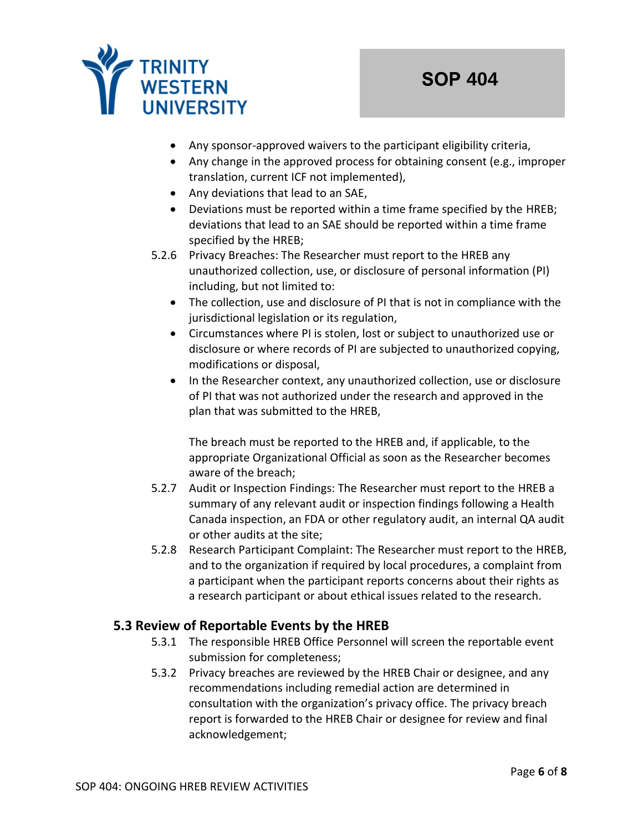

- Any sponsor-approved waivers to the participant eligibility criteria,
- Any change in the approved process for obtaining consent (e.g., improper translation, current ICF not implemented),
- Any deviations that lead to an SAE,
- Deviations must be reported within a time frame specified by the HREB; deviations that lead to an SAE should be reported within a time frame specified by the HREB;
- 5.2.6 Privacy Breaches: The Researcher must report to the HREB any unauthorized collection, use, or disclosure of personal information (PI) including, but not limited to:
	- The collection, use and disclosure of PI that is not in compliance with the jurisdictional legislation or its regulation,
	- Circumstances where PI is stolen, lost or subject to unauthorized use or disclosure or where records of PI are subjected to unauthorized copying, modifications or disposal,
	- In the Researcher context, any unauthorized collection, use or disclosure of PI that was not authorized under the research and approved in the plan that was submitted to the HREB,

The breach must be reported to the HREB and, if applicable, to the appropriate Organizational Official as soon as the Researcher becomes aware of the breach;

- 5.2.7 Audit or Inspection Findings: The Researcher must report to the HREB a summary of any relevant audit or inspection findings following a Health Canada inspection, an FDA or other regulatory audit, an internal QA audit or other audits at the site;
- 5.2.8 Research Participant Complaint: The Researcher must report to the HREB, and to the organization if required by local procedures, a complaint from a participant when the participant reports concerns about their rights as a research participant or about ethical issues related to the research.

# **5.3 Review of Reportable Events by the HREB**

- 5.3.1 The responsible HREB Office Personnel will screen the reportable event submission for completeness;
- 5.3.2 Privacy breaches are reviewed by the HREB Chair or designee, and any recommendations including remedial action are determined in consultation with the organization's privacy office. The privacy breach report is forwarded to the HREB Chair or designee for review and final acknowledgement;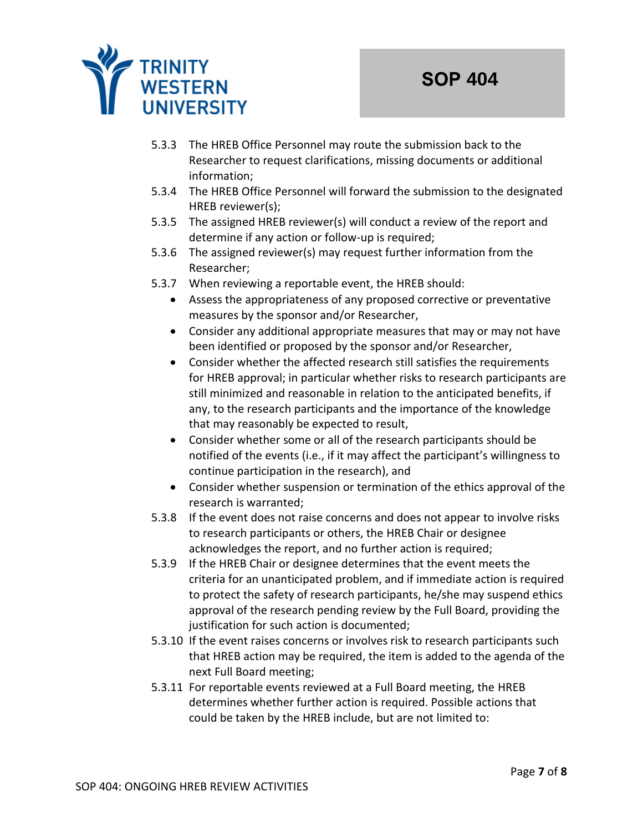

- 5.3.3 The HREB Office Personnel may route the submission back to the Researcher to request clarifications, missing documents or additional information;
- 5.3.4 The HREB Office Personnel will forward the submission to the designated HREB reviewer(s);
- 5.3.5 The assigned HREB reviewer(s) will conduct a review of the report and determine if any action or follow-up is required;
- 5.3.6 The assigned reviewer(s) may request further information from the Researcher;
- 5.3.7 When reviewing a reportable event, the HREB should:
	- Assess the appropriateness of any proposed corrective or preventative measures by the sponsor and/or Researcher,
	- Consider any additional appropriate measures that may or may not have been identified or proposed by the sponsor and/or Researcher,
	- Consider whether the affected research still satisfies the requirements for HREB approval; in particular whether risks to research participants are still minimized and reasonable in relation to the anticipated benefits, if any, to the research participants and the importance of the knowledge that may reasonably be expected to result,
	- Consider whether some or all of the research participants should be notified of the events (i.e., if it may affect the participant's willingness to continue participation in the research), and
	- Consider whether suspension or termination of the ethics approval of the research is warranted;
- 5.3.8 If the event does not raise concerns and does not appear to involve risks to research participants or others, the HREB Chair or designee acknowledges the report, and no further action is required;
- 5.3.9 If the HREB Chair or designee determines that the event meets the criteria for an unanticipated problem, and if immediate action is required to protect the safety of research participants, he/she may suspend ethics approval of the research pending review by the Full Board, providing the justification for such action is documented;
- 5.3.10 If the event raises concerns or involves risk to research participants such that HREB action may be required, the item is added to the agenda of the next Full Board meeting;
- 5.3.11 For reportable events reviewed at a Full Board meeting, the HREB determines whether further action is required. Possible actions that could be taken by the HREB include, but are not limited to: